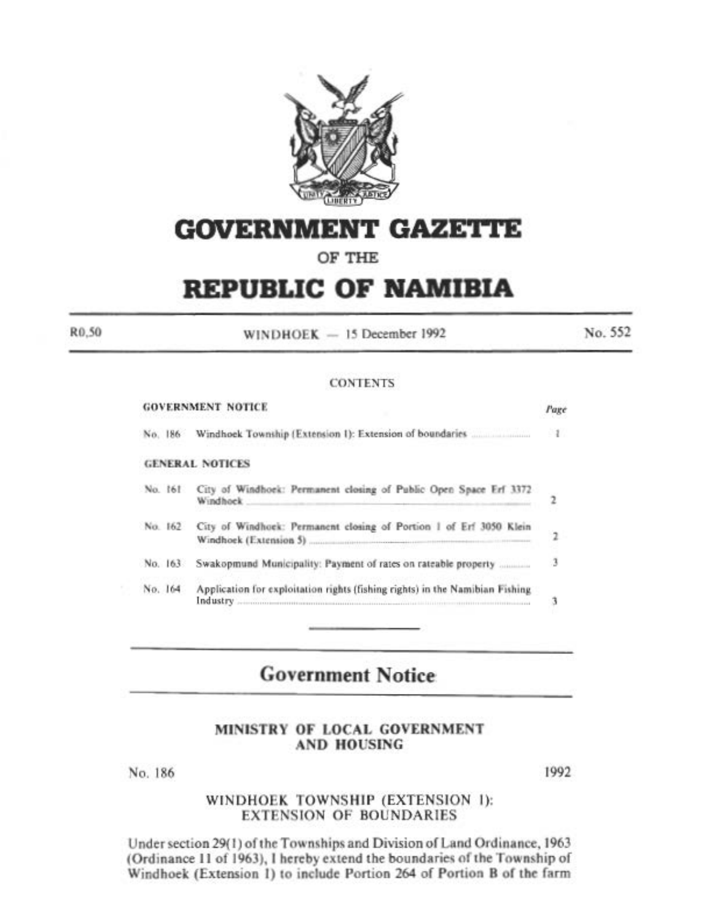

# **GOVERNMENT GAZETTE**

# OF THE

# **REPUBLIC OF NAMIBIA**

WINDHOEK - 15 December 1992

No. 552

#### **CONTENTS**

|         | <b>GOVERNMENT NOTICE</b>                                                                                                                                                               | Page          |
|---------|----------------------------------------------------------------------------------------------------------------------------------------------------------------------------------------|---------------|
| No. 186 |                                                                                                                                                                                        | $\frac{1}{2}$ |
|         | <b>GENERAL NOTICES</b>                                                                                                                                                                 |               |
| No. 161 | City of Windhoek: Permanent closing of Public Open Space Erf 3372<br>Windhock.                                                                                                         | 2             |
| No. 162 | City of Windhoek: Permanent closing of Portion 1 of Erf 3050 Klein<br>Windhoek (Extension 5) [1996] [2010] [2010] [2010] [2010] [2010] [2010] [2010] [2010] [2010] [2010] [2010] [20   | 2             |
| No. 163 | Swakopmund Municipality: Payment of rates on rateable property                                                                                                                         | 3             |
| No. 164 | Application for exploitation rights (fishing rights) in the Namibian Fishing<br>Industry <b>Automore Communication Communication</b> (2014) and the communication of the communication | з             |
|         |                                                                                                                                                                                        |               |

# **Government Notice**

## MINISTRY OF LOCAL GOVERNMENT **AND HOUSING**

No. 186

R<sub>0.50</sub>

1992

## WINDHOEK TOWNSHIP (EXTENSION 1): **EXTENSION OF BOUNDARIES**

Under section 29(1) of the Townships and Division of Land Ordinance, 1963 (Ordinance 11 of 1963), I hereby extend the boundaries of the Township of Windhoek (Extension 1) to include Portion 264 of Portion B of the farm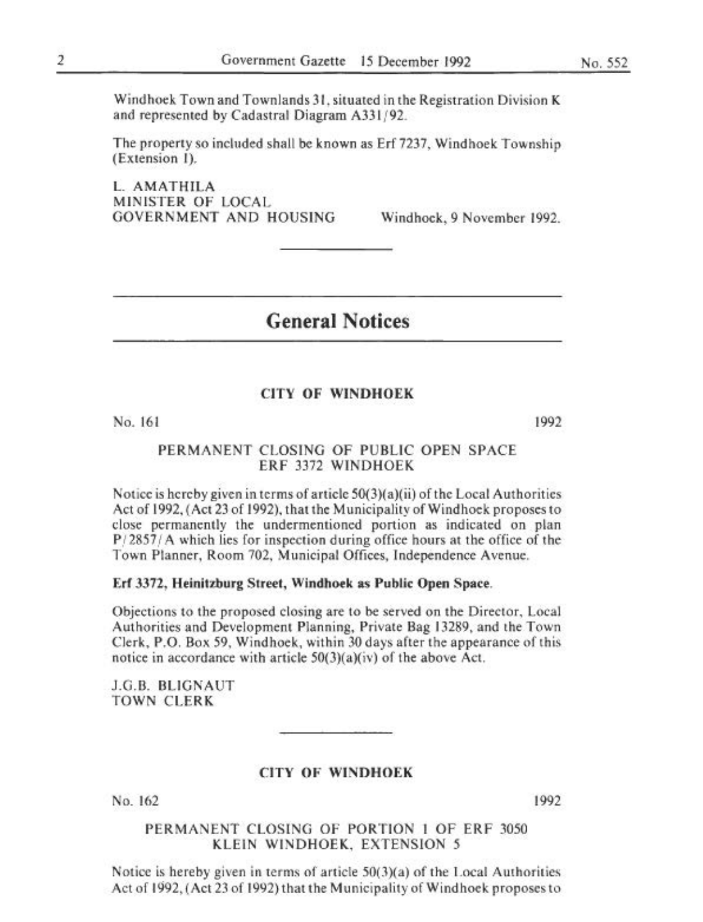No. *552* 

Windhoek Town and Townlands 31, situated in the Registration Division K and represented by Cadastral Diagram A331/92.

The property so included shall be known as Erf 7237. Windhoek Township (Extension 1).

l. AMATHILA MINISTER OF LOCAl. GOVERNMENT AND HOUSING Windhoek, 9 November 1992.

# General Notices

# CITY OF WINDHOEK

No. 161

1992

### PERMANENT CLOSING OF PUBLIC OPEN SPACE ERF 3372 WINDHOEK

Notice is hereby given in terms of article  $50(3)(a)(ii)$  of the Local Authorities Act of 1992, (Act 23 of 1992), that the Municipality of Windhoek proposes to close permanently the undermentioned portion as indicated on plan *P/2857/A* which lies for inspection during office hours at the office of the Town Planner, Room 702. Municipal Offices. Independence Avenue,

#### Erf 3372, Heinitzburg Street, Windhoek as Public Open Space.

Objections to the proposed closing are to be served on the Director, Local Authorities and Development Planning, Private Bag 13289, and the Town Clerk, P.O. Box *59.* Windhoek, within 30 days after the appearance of this notice in accordance with article  $50(3)(a)(iv)$  of the above Act.

J.C.B. BLIGNAUT TOWN CLERK

#### CITY OF WINDHOEK

No. 162

1992

PERMANENT CLOSING OF PORTION I OF ERF 3050 KlEIN WINDHOEK. EXTENSION *5* 

Notice is hereby given in terms of article  $50(3)(a)$  of the Local Authorities Act of 1992, (Act 23 of 1992) that the Municipality of Windhoek proposes to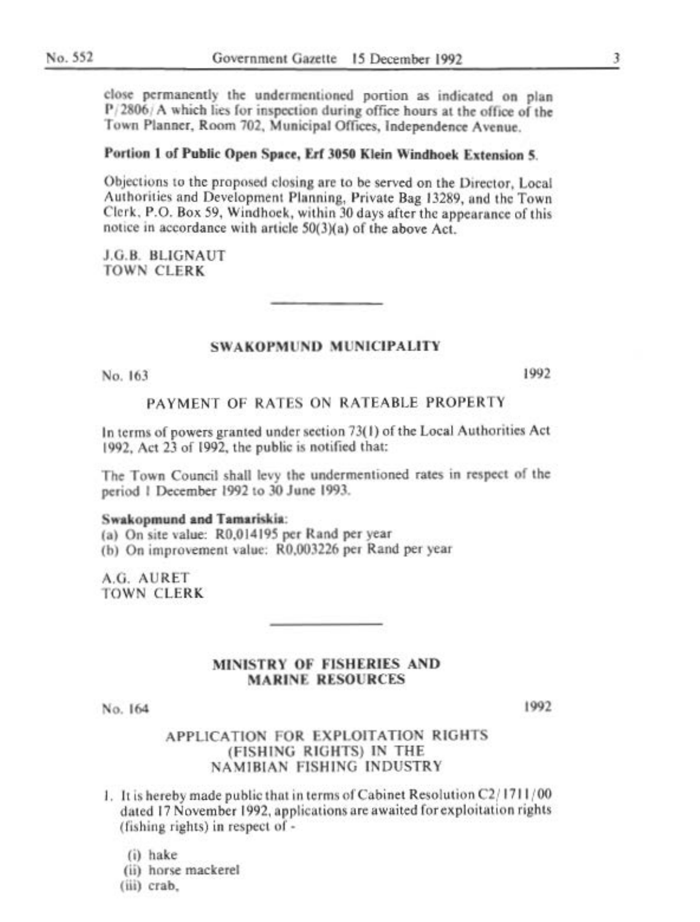close permanently the undermentioned portion as indicated on plan  $P/2806/A$  which lies for inspection during office hours at the office of the Town Planner, Room 702, Municipal Offices, Independence Avenue.

# Portion 1 of Public Open Space, Erf 3050 Klein Windhoek Extension 5.

Objections to the proposed closing are to be served on the Director, Local Authorities and Development Planning, Private Bag 13289, and the Town Clerk, P.O. Box 59, Windhoek, within 30 days after the appearance of this notice in accordance with article 50(3)(a) of the above Act.

J.G.B. BLIGNAUT **TOWN CLERK** 

#### **SWAKOPMUND MUNICIPALITY**

No. 163

1992

#### PAYMENT OF RATES ON RATEABLE PROPERTY

In terms of powers granted under section 73(1) of the Local Authorities Act 1992. Act 23 of 1992, the public is notified that:

The Town Council shall levy the undermentioned rates in respect of the period 1 December 1992 to 30 June 1993.

#### Swakopmund and Tamariskia:

(a) On site value: R0,014195 per Rand per year (b) On improvement value: R0.003226 per Rand per year

A.G. AURET **TOWN CLERK** 

#### MINISTRY OF FISHERIES AND **MARINE RESOURCES**

No. 164

1992

# APPLICATION FOR EXPLOITATION RIGHTS (FISHING RIGHTS) IN THE **NAMIBIAN FISHING INDUSTRY**

1. It is hereby made public that in terms of Cabinet Resolution C2/1711/00 dated 17 November 1992, applications are awaited for exploitation rights (fishing rights) in respect of -

 $(i)$  hake

(ii) horse mackerel

(iii) crab.